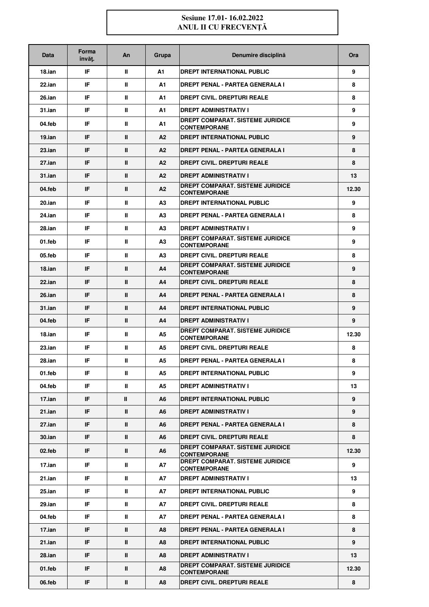## **Sesiune 17.01- 16.02.2022 ANUL II CU FRECVENŢĂ**

| Data      | Forma<br>învăt. | An           | Grupa | Denumire disciplină                                            | <b>Ora</b> |
|-----------|-----------------|--------------|-------|----------------------------------------------------------------|------------|
| 18.ian    | IF.             | Ш            | А1    | DREPT INTERNATIONAL PUBLIC                                     | 9          |
| $22$ .ian | IF.             | ш            | A1    | <b>DREPT PENAL - PARTEA GENERALA I</b>                         | 8          |
| 26.ian    | IF.             | Ш            | A1    | <b>DREPT CIVIL. DREPTURI REALE</b>                             | 8          |
| $31$ .ian | IF.             | Ш            | A1    | <b>DREPT ADMINISTRATIV I</b>                                   | 9          |
| 04.feb    | IF.             | Ш            | A1    | <b>DREPT COMPARAT, SISTEME JURIDICE</b><br><b>CONTEMPORANE</b> | 9          |
| 19.ian    | IF.             | Ш            | A2    | <b>DREPT INTERNATIONAL PUBLIC</b>                              | 9          |
| $23$ .ian | IF.             | Ш            | A2    | <b>DREPT PENAL - PARTEA GENERALA I</b>                         | 8          |
| 27.ian    | IF.             | Ш            | A2    | DREPT CIVIL. DREPTURI REALE                                    | 8          |
| $31$ .ian | IF.             | $\mathbf{u}$ | A2    | <b>DREPT ADMINISTRATIV I</b>                                   | 13         |
| 04.feb    | IF.             | Ш            | A2    | DREPT COMPARAT. SISTEME JURIDICE<br><b>CONTEMPORANE</b>        | 12.30      |
| 20.ian    | IF.             | Ш            | A3    | DREPT INTERNATIONAL PUBLIC                                     | 9          |
| 24.ian    | IF.             | Ш            | A3    | <b>DREPT PENAL - PARTEA GENERALA I</b>                         | 8          |
| 28.ian    | IF.             | ш            | A3    | <b>DREPT ADMINISTRATIV I</b>                                   | 9          |
| 01 feb    | IF.             | Ш            | А3    | <b>DREPT COMPARAT, SISTEME JURIDICE</b><br><b>CONTEMPORANE</b> | 9          |
| 05.feb    | IF.             | Ш            | А3    | <b>DREPT CIVIL. DREPTURI REALE</b>                             | 8          |
| 18.ian    | IF.             | Ш            | A4    | <b>DREPT COMPARAT, SISTEME JURIDICE</b><br><b>CONTEMPORANE</b> | 9          |
| $22$ .ian | IF.             | $\mathbf{u}$ | A4    | <b>DREPT CIVIL. DREPTURI REALE</b>                             | 8          |
| $26$ .ian | IF.             | $\mathbf{u}$ | A4    | <b>DREPT PENAL - PARTEA GENERALA I</b>                         | 8          |
| $31$ .ian | IF.             | Ш            | A4    | <b>DREPT INTERNATIONAL PUBLIC</b>                              | 9          |
| 04.feb    | IF.             | $\mathbf{u}$ | A4    | <b>DREPT ADMINISTRATIV I</b>                                   | 9          |
| 18.ian    | IF.             | Ш            | А5    | <b>DREPT COMPARAT, SISTEME JURIDICE</b><br><b>CONTEMPORANE</b> | 12.30      |
| $23$ .ian | IF.             | ш            | A5    | DREPT CIVIL. DREPTURI REALE                                    | 8          |
| 28.ian    | IF              | Ш            | A5    | <b>DREPT PENAL - PARTEA GENERALA I</b>                         | 8          |
| 01.feb    | IF.             | Ш            | А5    | DREPT INTERNATIONAL PUBLIC                                     | 9          |
| 04.feb    | IF.             | ш            | A5    | <b>DREPT ADMINISTRATIV I</b>                                   | 13         |
| 17.ian    | IF.             | $\mathbf{I}$ | A6    | <b>DREPT INTERNATIONAL PUBLIC</b>                              | 9          |
| 21.ian    | IF.             | $\mathbf{I}$ | A6    | <b>DREPT ADMINISTRATIV I</b>                                   | 9          |
| 27.ian    | IF.             | $\mathbf{I}$ | A6    | <b>DREPT PENAL - PARTEA GENERALA I</b>                         | 8          |
| $30$ .ian | IF.             | $\mathbf{I}$ | A6    | DREPT CIVIL. DREPTURI REALE                                    | 8          |
| 02.feb    | IF.             | $\mathbf{I}$ | A6    | <b>DREPT COMPARAT. SISTEME JURIDICE</b><br><b>CONTEMPORANE</b> | 12.30      |
| 17.ian    | IF.             | Ш            | А7    | DREPT COMPARAT. SISTEME JURIDICE<br><b>CONTEMPORANE</b>        | 9          |
| 21.ian    | IF.             | Ш            | А7    | <b>DREPT ADMINISTRATIV I</b>                                   | 13         |
| 25.ian    | IF.             | Ш            | A7    | DREPT INTERNATIONAL PUBLIC                                     | 9          |
| 29.ian    | IF.             | Ш            | A7    | DREPT CIVIL. DREPTURI REALE                                    | 8          |
| 04.feb    | IF.             | Ш            | A7    | <b>DREPT PENAL - PARTEA GENERALA I</b>                         | 8          |
| 17.ian    | IF.             | Ш            | A8    | <b>DREPT PENAL - PARTEA GENERALA I</b>                         | 8          |
| 21.ian    | IF.             | $\mathbf{u}$ | A8    | DREPT INTERNATIONAL PUBLIC                                     | 9          |
| 28.ian    | IF.             | Ш            | A8    | <b>DREPT ADMINISTRATIV I</b>                                   | 13         |
| 01.feb    | IF.             | Ш            | A8    | <b>DREPT COMPARAT, SISTEME JURIDICE</b><br><b>CONTEMPORANE</b> | 12.30      |
| 06.feb    | IF.             | $\mathbf{I}$ | A8    | DREPT CIVIL. DREPTURI REALE                                    | 8          |